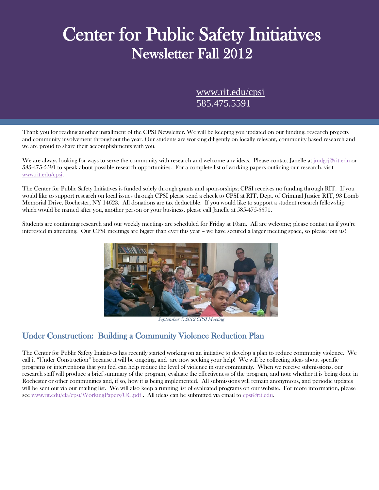# Center for Public Safety Initiatives Newsletter Fall 2012

 $\frac{\text{www.rit.edu/cpsi}}{$  $\frac{\text{www.rit.edu/cpsi}}{$  $\frac{\text{www.rit.edu/cpsi}}{$ 585.475.5591

Thank you for reading another installment of the CPSI Newsletter. We will be keeping you updated on our funding, research projects and community involvement throughout the year. Our students are working diligently on locally relevant, community based research and we are proud to share their accomplishments with you.

We are always looking for ways to serve the community with research and welcome any ideas. Please contact Janelle at *jmdgcj@rit.edu* or 585-475-5591 to speak about possible research opportunities. For a complete list of working papers outlining our research, visit [www.rit.edu/cpsi.](http://www.rit.edu/cpsi)

The Center for Public Safety Initiatives is funded solely through grants and sponsorships; CPSI receives no funding through RIT. If you would like to support research on local issues through CPSI please send a check to CPSI at RIT, Dept. of Criminal Justice RIT, 93 Lomb Memorial Drive, Rochester, NY 14623. All donations are tax deductible. If you would like to support a student research fellowship which would be named after you, another person or your business, please call Janelle at 585-475-5591.

Students are continuing research and our weekly meetings are scheduled for Friday at 10am. All are welcome; please contact us if you're interested in attending. Our CPSI meetings are bigger than ever this year – we have secured a larger meeting space, so please join us!



September 7, 2012 CPSI Meeting

## Under Construction: Building a Community Violence Reduction Plan

The Center for Public Safety Initiatives has recently started working on an initiative to develop a plan to reduce community violence. We call it "Under Construction" because it will be ongoing, and are now seeking your help! We will be collecting ideas about specific programs or interventions that you feel can help reduce the level of violence in our community. When we receive submissions, our research staff will produce a brief summary of the program, evaluate the effectiveness of the program, and note whether it is being done in Rochester or other communities and, if so, how it is being implemented. All submissions will remain anonymous, and periodic updates will be sent out via our mailing list. We will also keep a running list of evaluated programs on our website. For more information, please see [www.rit.edu/cla/cpsi/WorkingPapers/UC.pdf](http://www.rit.edu/cla/cpsi/WorkingPapers/UC.pdf) . All ideas can be submitted via email to [cpsi@rit.edu.](mailto:cpsi@rit.edu)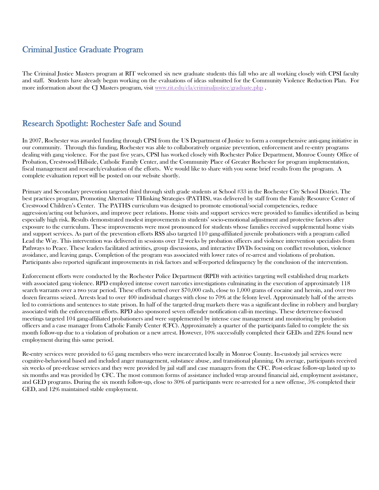## Criminal Justice Graduate Program

The Criminal Justice Masters program at RIT welcomed six new graduate students this fall who are all working closely with CPSI faculty and staff. Students have already begun working on the evaluations of ideas submitted for the Community Violence Reduction Plan. For more information about the CJ Masters program, visit [www.rit.edu/cla/criminaljustice/graduate.php](http://www.rit.edu/cla/criminaljustice/graduate.php) .

## Research Spotlight: Rochester Safe and Sound

In 2007, Rochester was awarded funding through CPSI from the US Department of Justice to form a comprehensive anti-gang initiative in our community. Through this funding, Rochester was able to collaboratively organize prevention, enforcement and re-entry programs dealing with gang violence. For the past five years, CPSI has worked closely with Rochester Police Department, Monroe County Office of Probation, Crestwood/Hillside, Catholic Family Center, and the Community Place of Greater Rochester for program implementation, fiscal management and research/evaluation of the efforts. We would like to share with you some brief results from the program. A complete evaluation report will be posted on our website shortly.

Primary and Secondary prevention targeted third through sixth grade students at School #33 in the Rochester City School District. The best practices program, Promoting Alternative THinking Strategies (PATHS), was delivered by staff from the Family Resource Center of Crestwood Children's Center. The PATHS curriculum was designed to promote emotional/social competencies, reduce aggression/acting out behaviors, and improve peer relations. Home visits and support services were provided to families identified as being especially high risk. Results demonstrated modest improvements in students' socio-emotional adjustment and protective factors after exposure to the curriculum. These improvements were most pronounced for students whose families received supplemental home visits and support services. As part of the prevention efforts RSS also targeted 110 gang-affiliated juvenile probationers with a program called Lead the Way. This intervention was delivered in sessions over 12 weeks by probation officers and violence intervention specialists from Pathways to Peace. These leaders facilitated activities, group discussions, and interactive DVDs focusing on conflict resolution, violence avoidance, and leaving gangs. Completion of the program was associated with lower rates of re-arrest and violations of probation. Participants also reported significant improvements in risk factors and self-reported delinquency by the conclusion of the intervention.

Enforcement efforts were conducted by the Rochester Police Department (RPD) with activities targeting well established drug markets with associated gang violence. RPD employed intense covert narcotics investigations culminating in the execution of approximately 118 search warrants over a two year period. These efforts netted over \$70,000 cash, close to 1,000 grams of cocaine and heroin, and over two dozen firearms seized. Arrests lead to over 400 individual charges with close to 70% at the felony level. Approximately half of the arrests led to convictions and sentences to state prison. In half of the targeted drug markets there was a significant decline in robbery and burglary associated with the enforcement efforts. RPD also sponsored seven offender notification call-in meetings. These deterrence-focused meetings targeted 104 gang-affiliated probationers and were supplemented by intense case management and monitoring by probation officers and a case manager from Catholic Family Center (CFC). Approximately a quarter of the participants failed to complete the six month follow-up due to a violation of probation or a new arrest. However, 10% successfully completed their GEDs and 22% found new employment during this same period.

Re-entry services were provided to 65 gang members who were incarcerated locally in Monroe County. In-custody jail services were cognitive-behavioral based and included anger management, substance abuse, and transitional planning. On average, participants received six weeks of pre-release services and they were provided by jail staff and case managers from the CFC. Post-release follow-up lasted up to six months and was provided by CFC. The most common forms of assistance included wrap around financial aid, employment assistance, and GED programs. During the six month follow-up, close to 30% of participants were re-arrested for a new offense, 5% completed their GED, and 12% maintained stable employment.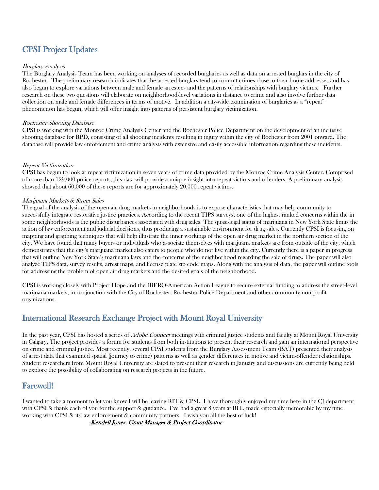## CPSI Project Updates

#### Burglary Analysis

The Burglary Analysis Team has been working on analyses of recorded burglaries as well as data on arrested burglars in the city of Rochester. The preliminary research indicates that the arrested burglars tend to commit crimes close to their home addresses and has also begun to explore variations between male and female arrestees and the patterns of relationships with burglary victims. Further research on these two questions will elaborate on neighborhood-level variations in distance to crime and also involve further data collection on male and female differences in terms of motive. In addition a city-wide examination of burglaries as a "repeat" phenomenon has begun, which will offer insight into patterns of persistent burglary victimization.

#### Rochester Shooting Database

CPSI is working with the Monroe Crime Analysis Center and the Rochester Police Department on the development of an inclusive shooting database for RPD, consisting of all shooting incidents resulting in injury within the city of Rochester from 2001 onward. The database will provide law enforcement and crime analysts with extensive and easily accessible information regarding these incidents.

#### Repeat Victimization

CPSI has begun to look at repeat victimization in seven years of crime data provided by the Monroe Crime Analysis Center. Comprised of more than 129,000 police reports, this data will provide a unique insight into repeat victims and offenders. A preliminary analysis showed that about 60,000 of these reports are for approximately 20,000 repeat victims.

#### Marijuana Markets & Street Sales

The goal of the analysis of the open air drug markets in neighborhoods is to expose characteristics that may help community to successfully integrate restorative justice practices. According to the recent TIPS surveys, one of the highest ranked concerns within the in some neighborhoods is the public disturbances associated with drug sales. The quasi-legal status of marijuana in New York State limits the action of law enforcement and judicial decisions, thus producing a sustainable environment for drug sales. Currently CPSI is focusing on mapping and graphing techniques that will help illustrate the inner workings of the open air drug market in the northern section of the city. We have found that many buyers or individuals who associate themselves with marijuana markets are from outside of the city, which demonstrates that the city's marijuana market also caters to people who do not live within the city. Currently there is a paper in progress that will outline New York State's marijuana laws and the concerns of the neighborhood regarding the sale of drugs. The paper will also analyze TIPS data, survey results, arrest maps, and license plate zip code maps. Along with the analysis of data, the paper will outline tools for addressing the problem of open air drug markets and the desired goals of the neighborhood.

CPSI is working closely with Project Hope and the IBERO-American Action League to secure external funding to address the street-level marijuana markets, in conjunction with the City of Rochester, Rochester Police Department and other community non-profit organizations.

## International Research Exchange Project with Mount Royal University

In the past year, CPSI has hosted a series of *Adobe Connect* meetings with criminal justice students and faculty at Mount Royal University in Calgary. The project provides a forum for students from both institutions to present their research and gain an international perspective on crime and criminal justice. Most recently, several CPSI students from the Burglary Assessment Team (BAT) presented their analysis of arrest data that examined spatial (journey to crime) patterns as well as gender differences in motive and victim-offender relationships. Student researchers from Mount Royal University are slated to present their research in January and discussions are currently being held to explore the possibility of collaborating on research projects in the future.

### Farewell!

I wanted to take a moment to let you know I will be leaving RIT & CPSI. I have thoroughly enjoyed my time here in the CJ department with CPSI & thank each of you for the support & guidance. I've had a great 8 years at RIT, made especially memorable by my time working with CPSI & its law enforcement & community partners. I wish you all the best of luck!

-Kendell Jones, Grant Manager & Project Coordinator